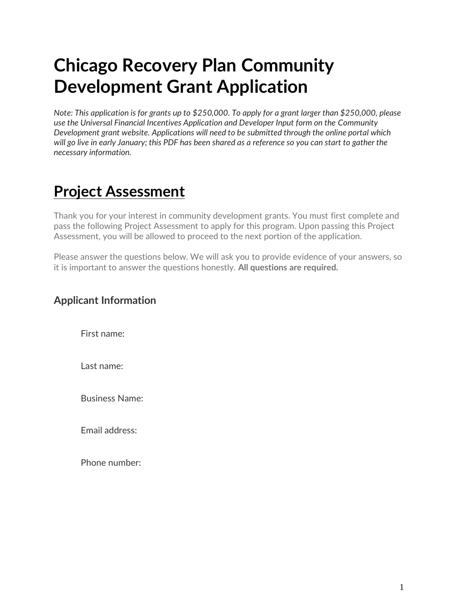# **Chicago Recovery Plan Community Development Grant Application**

*Note: This application is for grants up to \$250,000. To apply for a grant larger than \$250,000, please use the Universal Financial Incentives Application and Developer Input form on the Community Development grant website. Applications will need to be submitted through the online portal which will go live in early January; this PDF has been shared as a reference so you can start to gather the necessary information.*

# **Project Assessment**

Thank you for your interest in community development grants. You must first complete and pass the following Project Assessment to apply for this program. Upon passing this Project Assessment, you will be allowed to proceed to the next portion of the application.

Please answer the questions below. We will ask you to provide evidence of your answers, so it is important to answer the questions honestly. **All questions are required.**

## **Applicant Information**

First name:

Last name:

Business Name:

Email address:

Phone number: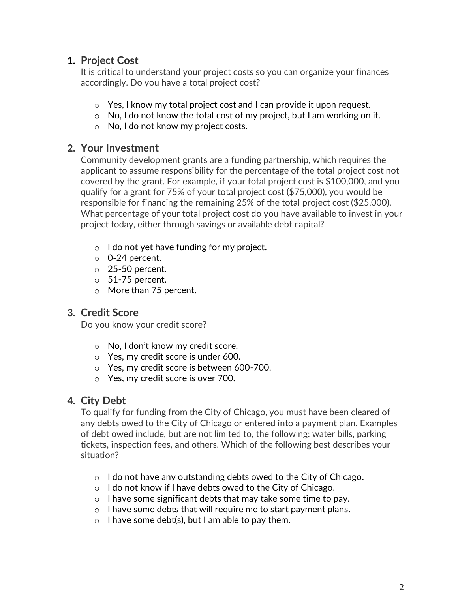# **1. Project Cost**

It is critical to understand your project costs so you can organize your finances accordingly. Do you have a total project cost?

- o Yes, I know my total project cost and I can provide it upon request.
- $\circ$  No, I do not know the total cost of my project, but I am working on it.
- o No, I do not know my project costs.

## **2. Your Investment**

Community development grants are a funding partnership, which requires the applicant to assume responsibility for the percentage of the total project cost not covered by the grant. For example, if your total project cost is \$100,000, and you qualify for a grant for 75% of your total project cost (\$75,000), you would be responsible for financing the remaining 25% of the total project cost (\$25,000). What percentage of your total project cost do you have available to invest in your project today, either through savings or available debt capital?

- o I do not yet have funding for my project.
- o 0-24 percent.
- o 25-50 percent.
- $\circ$  51-75 percent.
- o More than 75 percent.

# **3. Credit Score**

Do you know your credit score?

- o No, I don't know my credit score.
- o Yes, my credit score is under 600.
- o Yes, my credit score is between 600-700.
- o Yes, my credit score is over 700.

# **4. City Debt**

To qualify for funding from the City of Chicago, you must have been cleared of any debts owed to the City of Chicago or entered into a payment plan. Examples of debt owed include, but are not limited to, the following: water bills, parking tickets, inspection fees, and others. Which of the following best describes your situation?

- o I do not have any outstanding debts owed to the City of Chicago.
- o I do not know if I have debts owed to the City of Chicago.
- o I have some significant debts that may take some time to pay.
- o I have some debts that will require me to start payment plans.
- $\circ$  I have some debt(s), but I am able to pay them.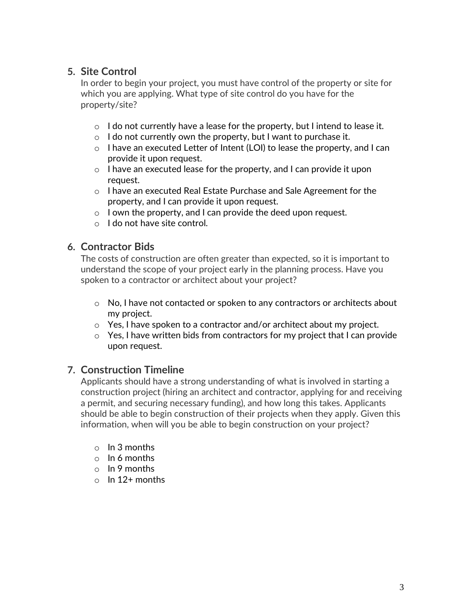# **5. Site Control**

In order to begin your project, you must have control of the property or site for which you are applying. What type of site control do you have for the property/site?

- $\circ$  I do not currently have a lease for the property, but I intend to lease it.
- $\circ$  I do not currently own the property, but I want to purchase it.
- o I have an executed Letter of Intent (LOI) to lease the property, and I can provide it upon request.
- o I have an executed lease for the property, and I can provide it upon request.
- o I have an executed Real Estate Purchase and Sale Agreement for the property, and I can provide it upon request.
- o I own the property, and I can provide the deed upon request.
- o I do not have site control.

## **6. Contractor Bids**

The costs of construction are often greater than expected, so it is important to understand the scope of your project early in the planning process. Have you spoken to a contractor or architect about your project?

- $\circ$  No, I have not contacted or spoken to any contractors or architects about my project.
- o Yes, I have spoken to a contractor and/or architect about my project.
- $\circ$  Yes, I have written bids from contractors for my project that I can provide upon request.

## **7. Construction Timeline**

Applicants should have a strong understanding of what is involved in starting a construction project (hiring an architect and contractor, applying for and receiving a permit, and securing necessary funding), and how long this takes. Applicants should be able to begin construction of their projects when they apply. Given this information, when will you be able to begin construction on your project?

- o In 3 months
- o In 6 months
- o In 9 months
- $\circ$  In 12+ months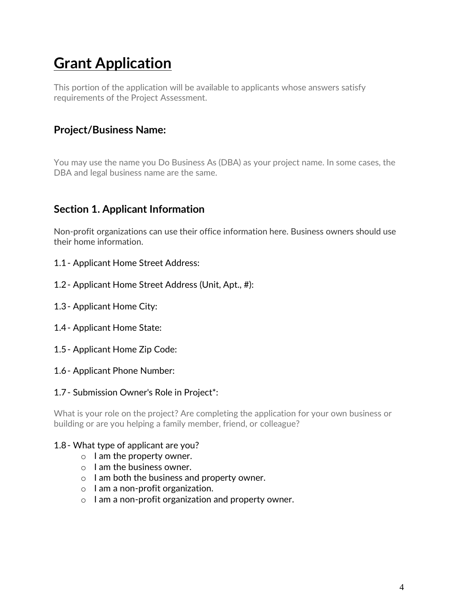# **Grant Application**

This portion of the application will be available to applicants whose answers satisfy requirements of the Project Assessment.

# **Project/Business Name:**

You may use the name you Do Business As (DBA) as your project name. In some cases, the DBA and legal business name are the same.

# **Section 1. Applicant Information**

Non-profit organizations can use their office information here. Business owners should use their home information.

- 1.1- Applicant Home Street Address:
- 1.2- Applicant Home Street Address (Unit, Apt., #):
- 1.3- Applicant Home City:
- 1.4- Applicant Home State:
- 1.5- Applicant Home Zip Code:
- 1.6- Applicant Phone Number:

#### 1.7- Submission Owner's Role in Project\*:

What is your role on the project? Are completing the application for your own business or building or are you helping a family member, friend, or colleague?

#### 1.8- What type of applicant are you?

- o I am the property owner.
- o I am the business owner.
- o I am both the business and property owner.
- o I am a non-profit organization.
- o I am a non-profit organization and property owner.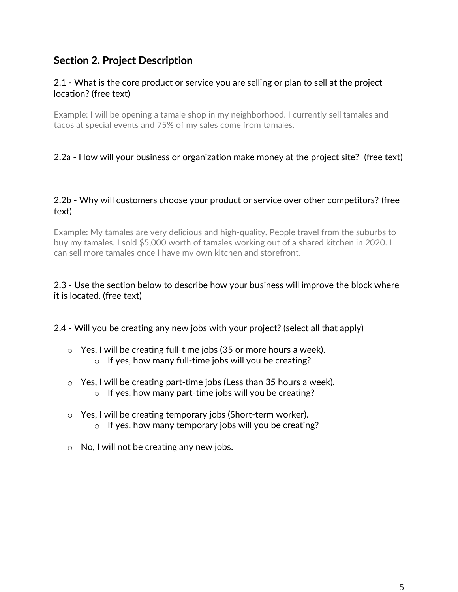# **Section 2. Project Description**

#### 2.1 - What is the core product or service you are selling or plan to sell at the project location? (free text)

Example: I will be opening a tamale shop in my neighborhood. I currently sell tamales and tacos at special events and 75% of my sales come from tamales.

#### 2.2a - How will your business or organization make money at the project site? (free text)

#### 2.2b - Why will customers choose your product or service over other competitors? (free text)

Example: My tamales are very delicious and high-quality. People travel from the suburbs to buy my tamales. I sold \$5,000 worth of tamales working out of a shared kitchen in 2020. I can sell more tamales once I have my own kitchen and storefront.

#### 2.3 - Use the section below to describe how your business will improve the block where it is located. (free text)

2.4 - Will you be creating any new jobs with your project? (select all that apply)

- o Yes, I will be creating full-time jobs (35 or more hours a week).
	- o If yes, how many full-time jobs will you be creating?
- o Yes, I will be creating part-time jobs (Less than 35 hours a week). o If yes, how many part-time jobs will you be creating?
- o Yes, I will be creating temporary jobs (Short-term worker). o If yes, how many temporary jobs will you be creating?
- o No, I will not be creating any new jobs.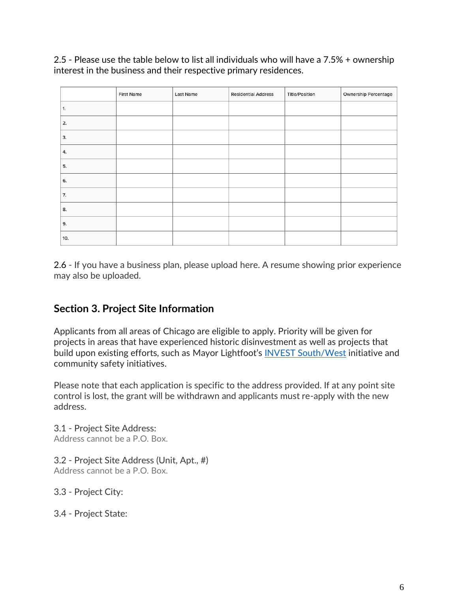2.5 - Please use the table below to list all individuals who will have a 7.5% + ownership interest in the business and their respective primary residences.

|     | <b>First Name</b> | Last Name | <b>Residential Address</b> | <b>Title/Position</b> | Ownership Percentage |
|-----|-------------------|-----------|----------------------------|-----------------------|----------------------|
| 1.  |                   |           |                            |                       |                      |
| 2.  |                   |           |                            |                       |                      |
| 3.  |                   |           |                            |                       |                      |
| 4.  |                   |           |                            |                       |                      |
| 5.  |                   |           |                            |                       |                      |
| 6.  |                   |           |                            |                       |                      |
| 7.  |                   |           |                            |                       |                      |
| 8.  |                   |           |                            |                       |                      |
| 9.  |                   |           |                            |                       |                      |
| 10. |                   |           |                            |                       |                      |

2.6 - If you have a business plan, please upload here. A resume showing prior experience may also be uploaded.

# **Section 3. Project Site Information**

Applicants from all areas of Chicago are eligible to apply. Priority will be given for projects in areas that have experienced historic disinvestment as well as projects that build upon existing efforts, such as Mayor Lightfoot's [INVEST South/West](https://www.chicago.gov/city/en/sites/invest_sw/home.html) initiative and community safety initiatives.

Please note that each application is specific to the address provided. If at any point site control is lost, the grant will be withdrawn and applicants must re-apply with the new address.

3.1 - Project Site Address: Address cannot be a P.O. Box.

3.2 - Project Site Address (Unit, Apt., #) Address cannot be a P.O. Box.

3.3 - Project City:

3.4 - Project State: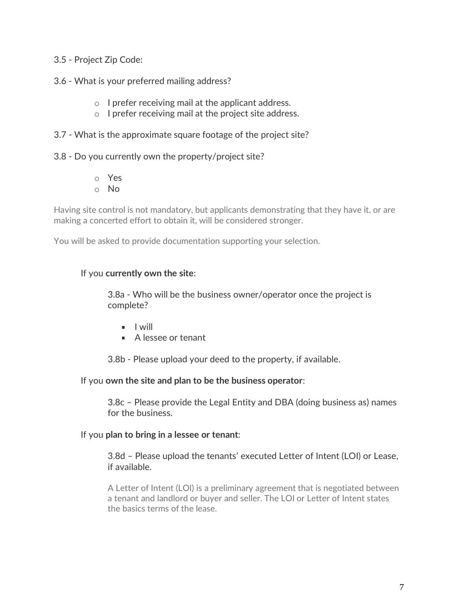#### 3.5 - Project Zip Code:

#### 3.6 - What is your preferred mailing address?

- o I prefer receiving mail at the applicant address.
- o I prefer receiving mail at the project site address.

#### 3.7 - What is the approximate square footage of the project site?

3.8 - Do you currently own the property/project site?

o Yes o No

Having site control is not mandatory, but applicants demonstrating that they have it, or are making a concerted effort to obtain it, will be considered stronger.

You will be asked to provide documentation supporting your selection.

#### If you **currently own the site**:

3.8a - Who will be the business owner/operator once the project is complete?

- $\blacksquare$  I will
- A lessee or tenant

3.8b - Please upload your deed to the property, if available.

If you **own the site and plan to be the business operator**:

3.8c – Please provide the Legal Entity and DBA (doing business as) names for the business.

#### If you **plan to bring in a lessee or tenant**:

3.8d – Please upload the tenants' executed Letter of Intent (LOI) or Lease, if available.

A Letter of Intent (LOI) is a preliminary agreement that is negotiated between a tenant and landlord or buyer and seller. The LOI or Letter of Intent states the basics terms of the lease.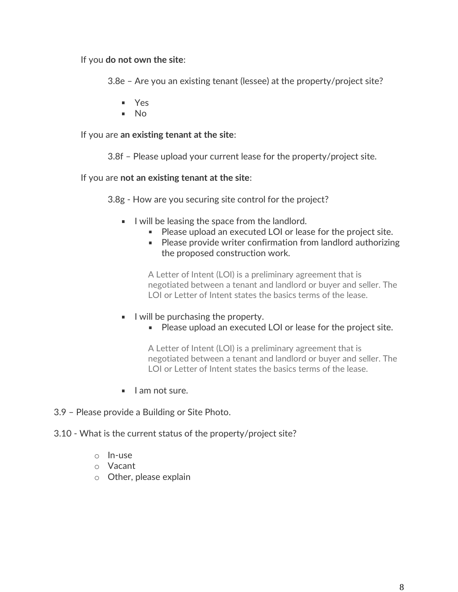If you **do not own the site**:

3.8e – Are you an existing tenant (lessee) at the property/project site?

- Yes
- $\blacksquare$  No

If you are **an existing tenant at the site**:

3.8f – Please upload your current lease for the property/project site.

If you are **not an existing tenant at the site**:

3.8g - How are you securing site control for the project?

- I will be leasing the space from the landlord.
	- Please upload an executed LOI or lease for the project site.
	- **Please provide writer confirmation from landlord authorizing** the proposed construction work.

A Letter of Intent (LOI) is a preliminary agreement that is negotiated between a tenant and landlord or buyer and seller. The LOI or Letter of Intent states the basics terms of the lease.

- $\blacksquare$  I will be purchasing the property.
	- Please upload an executed LOI or lease for the project site.

A Letter of Intent (LOI) is a preliminary agreement that is negotiated between a tenant and landlord or buyer and seller. The LOI or Letter of Intent states the basics terms of the lease.

I am not sure.

3.9 – Please provide a Building or Site Photo.

3.10 - What is the current status of the property/project site?

- o In-use
- o Vacant
- o Other, please explain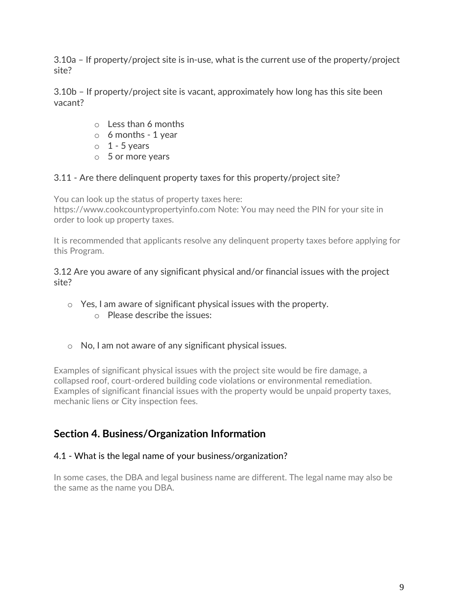3.10a – If property/project site is in-use, what is the current use of the property/project site?

3.10b – If property/project site is vacant, approximately how long has this site been vacant?

- o Less than 6 months
- $\circ$  6 months 1 year
- $\circ$  1 5 years
- o 5 or more years

## 3.11 - Are there delinquent property taxes for this property/project site?

You can look up the status of property taxes here: https://www.cookcountypropertyinfo.com Note: You may need the PIN for your site in order to look up property taxes.

It is recommended that applicants resolve any delinquent property taxes before applying for this Program.

3.12 Are you aware of any significant physical and/or financial issues with the project site?

- o Yes, I am aware of significant physical issues with the property.
	- o Please describe the issues:
- o No, I am not aware of any significant physical issues.

Examples of significant physical issues with the project site would be fire damage, a collapsed roof, court-ordered building code violations or environmental remediation. Examples of significant financial issues with the property would be unpaid property taxes, mechanic liens or City inspection fees.

# **Section 4. Business/Organization Information**

## 4.1 - What is the legal name of your business/organization?

In some cases, the DBA and legal business name are different. The legal name may also be the same as the name you DBA.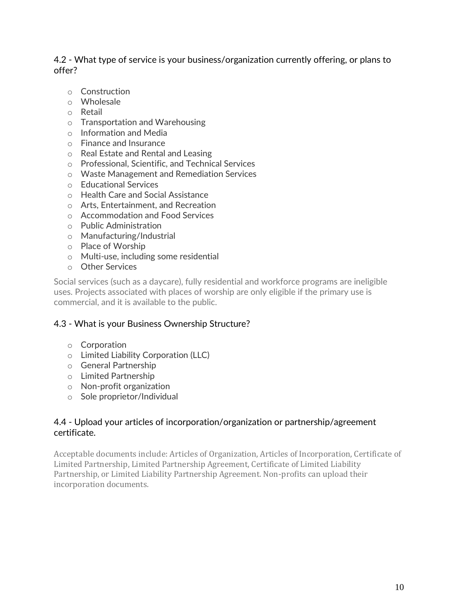4.2 - What type of service is your business/organization currently offering, or plans to offer?

- o Construction
- o Wholesale
- o Retail
- o Transportation and Warehousing
- o Information and Media
- o Finance and Insurance
- o Real Estate and Rental and Leasing
- o Professional, Scientific, and Technical Services
- o Waste Management and Remediation Services
- o Educational Services
- o Health Care and Social Assistance
- o Arts, Entertainment, and Recreation
- o Accommodation and Food Services
- o Public Administration
- o Manufacturing/Industrial
- o Place of Worship
- o Multi-use, including some residential
- o Other Services

Social services (such as a daycare), fully residential and workforce programs are ineligible uses. Projects associated with places of worship are only eligible if the primary use is commercial, and it is available to the public.

#### 4.3 - What is your Business Ownership Structure?

- o Corporation
- o Limited Liability Corporation (LLC)
- o General Partnership
- o Limited Partnership
- o Non-profit organization
- o Sole proprietor/Individual

#### 4.4 - Upload your articles of incorporation/organization or partnership/agreement certificate.

Acceptable documents include: Articles of Organization, Articles of Incorporation, Certificate of Limited Partnership, Limited Partnership Agreement, Certificate of Limited Liability Partnership, or Limited Liability Partnership Agreement. Non-profits can upload their incorporation documents.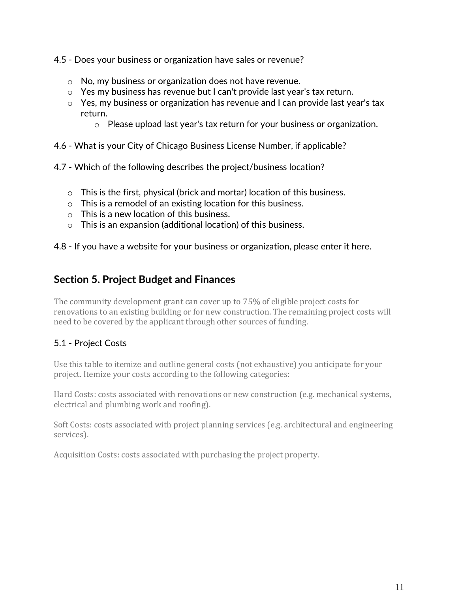- 4.5 Does your business or organization have sales or revenue?
	- o No, my business or organization does not have revenue.
	- $\circ$  Yes my business has revenue but I can't provide last year's tax return.
	- o Yes, my business or organization has revenue and I can provide last year's tax return.
		- $\circ$  Please upload last year's tax return for your business or organization.
- 4.6 What is your City of Chicago Business License Number, if applicable?
- 4.7 Which of the following describes the project/business location?
	- o This is the first, physical (brick and mortar) location of this business.
	- o This is a remodel of an existing location for this business.
	- o This is a new location of this business.
	- o This is an expansion (additional location) of this business.

4.8 - If you have a website for your business or organization, please enter it here.

## **Section 5. Project Budget and Finances**

The community development grant can cover up to 75% of eligible project costs for renovations to an existing building or for new construction. The remaining project costs will need to be covered by the applicant through other sources of funding.

## 5.1 - Project Costs

Use this table to itemize and outline general costs (not exhaustive) you anticipate for your project. Itemize your costs according to the following categories:

Hard Costs: costs associated with renovations or new construction (e.g. mechanical systems, electrical and plumbing work and roofing).

Soft Costs: costs associated with project planning services (e.g. architectural and engineering services).

Acquisition Costs: costs associated with purchasing the project property.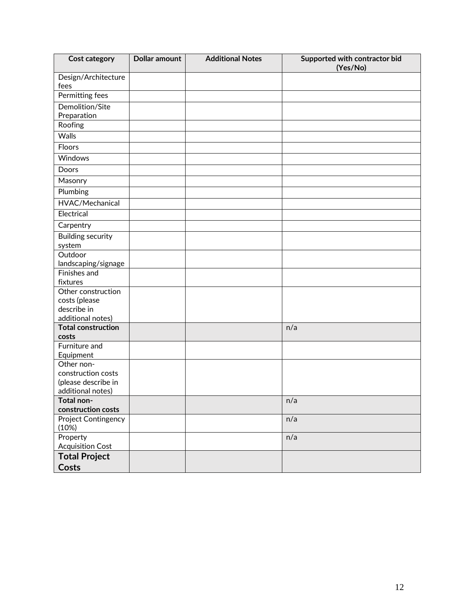| <b>Cost category</b>               | <b>Dollar amount</b> | <b>Additional Notes</b> | Supported with contractor bid<br>(Yes/No) |
|------------------------------------|----------------------|-------------------------|-------------------------------------------|
| Design/Architecture<br>fees        |                      |                         |                                           |
| Permitting fees                    |                      |                         |                                           |
| Demolition/Site                    |                      |                         |                                           |
| Preparation                        |                      |                         |                                           |
| Roofing                            |                      |                         |                                           |
| <b>Walls</b>                       |                      |                         |                                           |
| Floors                             |                      |                         |                                           |
| Windows                            |                      |                         |                                           |
| Doors                              |                      |                         |                                           |
| Masonry                            |                      |                         |                                           |
| Plumbing                           |                      |                         |                                           |
| HVAC/Mechanical                    |                      |                         |                                           |
| Electrical                         |                      |                         |                                           |
| Carpentry                          |                      |                         |                                           |
| <b>Building security</b>           |                      |                         |                                           |
| system                             |                      |                         |                                           |
| Outdoor                            |                      |                         |                                           |
| landscaping/signage                |                      |                         |                                           |
| Finishes and<br>fixtures           |                      |                         |                                           |
| Other construction                 |                      |                         |                                           |
| costs (please                      |                      |                         |                                           |
| describe in                        |                      |                         |                                           |
| additional notes)                  |                      |                         |                                           |
| <b>Total construction</b><br>costs |                      |                         | n/a                                       |
| Furniture and                      |                      |                         |                                           |
| Equipment                          |                      |                         |                                           |
| Other non-                         |                      |                         |                                           |
| construction costs                 |                      |                         |                                           |
| (please describe in                |                      |                         |                                           |
| additional notes)                  |                      |                         |                                           |
| Total non-                         |                      |                         | n/a                                       |
| construction costs                 |                      |                         |                                           |
| Project Contingency<br>(10%)       |                      |                         | n/a                                       |
| Property                           |                      |                         | n/a                                       |
| <b>Acquisition Cost</b>            |                      |                         |                                           |
| <b>Total Project</b>               |                      |                         |                                           |
| <b>Costs</b>                       |                      |                         |                                           |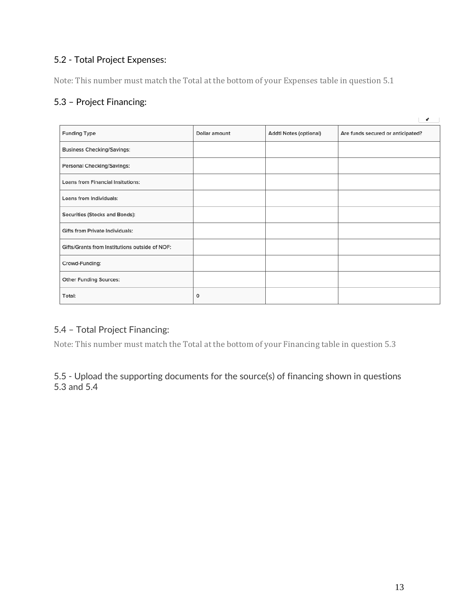## 5.2 - Total Project Expenses:

Note: This number must match the Total at the bottom of your Expenses table in question 5.1

## 5.3 – Project Financing:

|                                                |               |                        | ×.                                |
|------------------------------------------------|---------------|------------------------|-----------------------------------|
| <b>Funding Type</b>                            | Dollar amount | Addtl Notes (optional) | Are funds secured or anticipated? |
| <b>Business Checking/Savings:</b>              |               |                        |                                   |
| <b>Personal Checking/Savings:</b>              |               |                        |                                   |
| <b>Loans from Financial Insitutions:</b>       |               |                        |                                   |
| Loans from Individuals:                        |               |                        |                                   |
| Securities (Stocks and Bonds):                 |               |                        |                                   |
| <b>Gifts from Private Individuals:</b>         |               |                        |                                   |
| Gifts/Grants from Institutions outside of NOF: |               |                        |                                   |
| Crowd-Funding:                                 |               |                        |                                   |
| <b>Other Funding Sources:</b>                  |               |                        |                                   |
| Total:                                         | 0             |                        |                                   |

## 5.4 – Total Project Financing:

Note: This number must match the Total at the bottom of your Financing table in question 5.3

#### 5.5 - Upload the supporting documents for the source(s) of financing shown in questions 5.3 and 5.4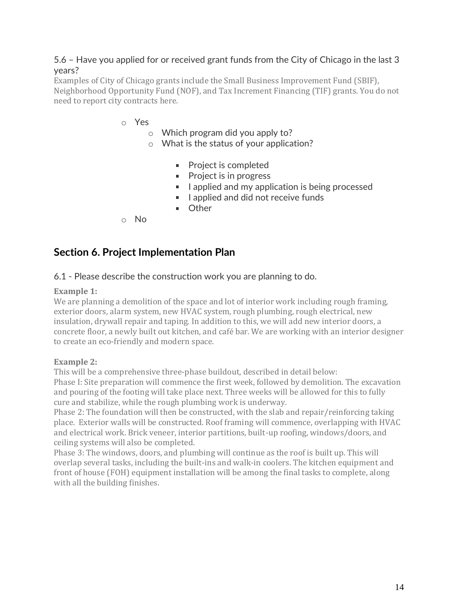#### 5.6 – Have you applied for or received grant funds from the City of Chicago in the last 3 years?

Examples of City of Chicago grants include the Small Business Improvement Fund (SBIF), Neighborhood Opportunity Fund (NOF), and Tax Increment Financing (TIF) grants. You do not need to report city contracts here.

- o Yes
	- o Which program did you apply to?
	- o What is the status of your application?
		- **Project is completed**
		- **Project is in progress**
		- I applied and my application is being processed
		- I applied and did not receive funds
		- **Demon** Other
- o No

## **Section 6. Project Implementation Plan**

#### 6.1 - Please describe the construction work you are planning to do.

#### **Example 1:**

We are planning a demolition of the space and lot of interior work including rough framing, exterior doors, alarm system, new HVAC system, rough plumbing, rough electrical, new insulation, drywall repair and taping. In addition to this, we will add new interior doors, a concrete floor, a newly built out kitchen, and café bar. We are working with an interior designer to create an eco-friendly and modern space.

#### **Example 2:**

This will be a comprehensive three-phase buildout, described in detail below: Phase I: Site preparation will commence the first week, followed by demolition. The excavation and pouring of the footing will take place next. Three weeks will be allowed for this to fully cure and stabilize, while the rough plumbing work is underway.

Phase 2: The foundation will then be constructed, with the slab and repair/reinforcing taking place. Exterior walls will be constructed. Roof framing will commence, overlapping with HVAC and electrical work. Brick veneer, interior partitions, built-up roofing, windows/doors, and ceiling systems will also be completed.

Phase 3: The windows, doors, and plumbing will continue as the roof is built up. This will overlap several tasks, including the built-ins and walk-in coolers. The kitchen equipment and front of house (FOH) equipment installation will be among the final tasks to complete, along with all the building finishes.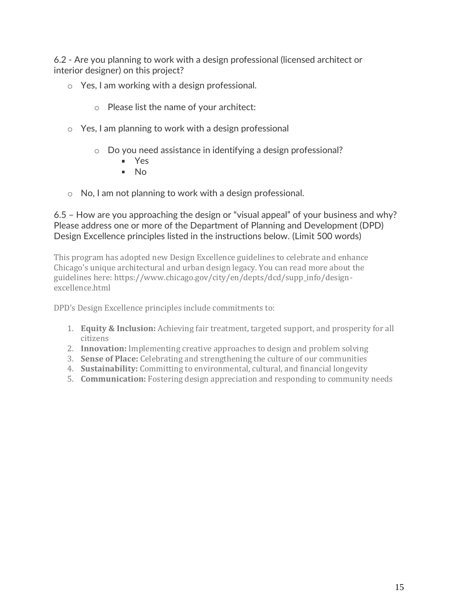6.2 - Are you planning to work with a design professional (licensed architect or interior designer) on this project?

- o Yes, I am working with a design professional.
	- o Please list the name of your architect:
- o Yes, I am planning to work with a design professional
	- o Do you need assistance in identifying a design professional?
		- Yes
		- $N<sub>0</sub>$
- o No, I am not planning to work with a design professional.

#### 6.5 – How are you approaching the design or "visual appeal" of your business and why? Please address one or more of the Department of Planning and Development (DPD) Design Excellence principles listed in the instructions below. (Limit 500 words)

This program has adopted new Design Excellence guidelines to celebrate and enhance Chicago's unique architectural and urban design legacy. You can read more about the guidelines here: https://www.chicago.gov/city/en/depts/dcd/supp\_info/designexcellence.html

DPD's Design Excellence principles include commitments to:

- 1. **Equity & Inclusion:** Achieving fair treatment, targeted support, and prosperity for all citizens
- 2. **Innovation:** Implementing creative approaches to design and problem solving
- 3. **Sense of Place:** Celebrating and strengthening the culture of our communities
- 4. **Sustainability:** Committing to environmental, cultural, and financial longevity
- 5. **Communication:** Fostering design appreciation and responding to community needs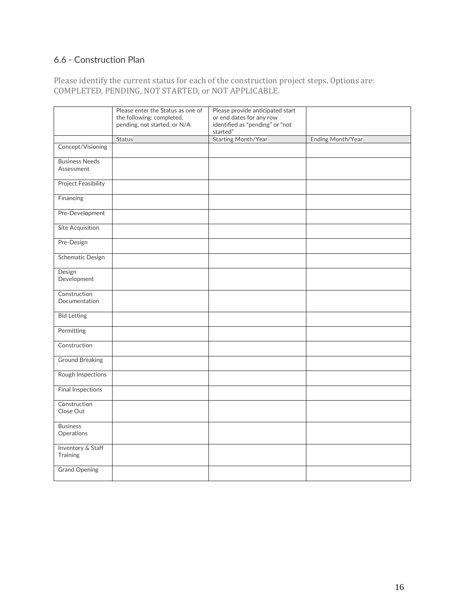## 6.6 - Construction Plan

Please identify the current status for each of the construction project steps. Options are: COMPLETED, PENDING, NOT STARTED, or NOT APPLICABLE.

|                            | Please enter the Status as one of | Please provide anticipated start |                   |
|----------------------------|-----------------------------------|----------------------------------|-------------------|
|                            | the following: completed,         | or end dates for any row         |                   |
|                            | pending, not started, or N/A      | identified as "pending" or "not  |                   |
|                            |                                   | started"                         |                   |
|                            | <b>Status</b>                     | <b>Starting Month/Year</b>       | Ending Month/Year |
| Concept/Visioning          |                                   |                                  |                   |
| <b>Business Needs</b>      |                                   |                                  |                   |
| Assessment                 |                                   |                                  |                   |
| <b>Project Feasibility</b> |                                   |                                  |                   |
| Financing                  |                                   |                                  |                   |
| Pre-Development            |                                   |                                  |                   |
| Site Acquisition           |                                   |                                  |                   |
| Pre-Design                 |                                   |                                  |                   |
| <b>Schematic Design</b>    |                                   |                                  |                   |
| Design                     |                                   |                                  |                   |
| Development                |                                   |                                  |                   |
| Construction               |                                   |                                  |                   |
| Documentation              |                                   |                                  |                   |
| <b>Bid Letting</b>         |                                   |                                  |                   |
| Permitting                 |                                   |                                  |                   |
| Construction               |                                   |                                  |                   |
| <b>Ground Breaking</b>     |                                   |                                  |                   |
| Rough Inspections          |                                   |                                  |                   |
| Final Inspections          |                                   |                                  |                   |
| Construction               |                                   |                                  |                   |
| Close Out                  |                                   |                                  |                   |
| <b>Business</b>            |                                   |                                  |                   |
| Operations                 |                                   |                                  |                   |
| Inventory & Staff          |                                   |                                  |                   |
| Training                   |                                   |                                  |                   |
| <b>Grand Opening</b>       |                                   |                                  |                   |
|                            |                                   |                                  |                   |